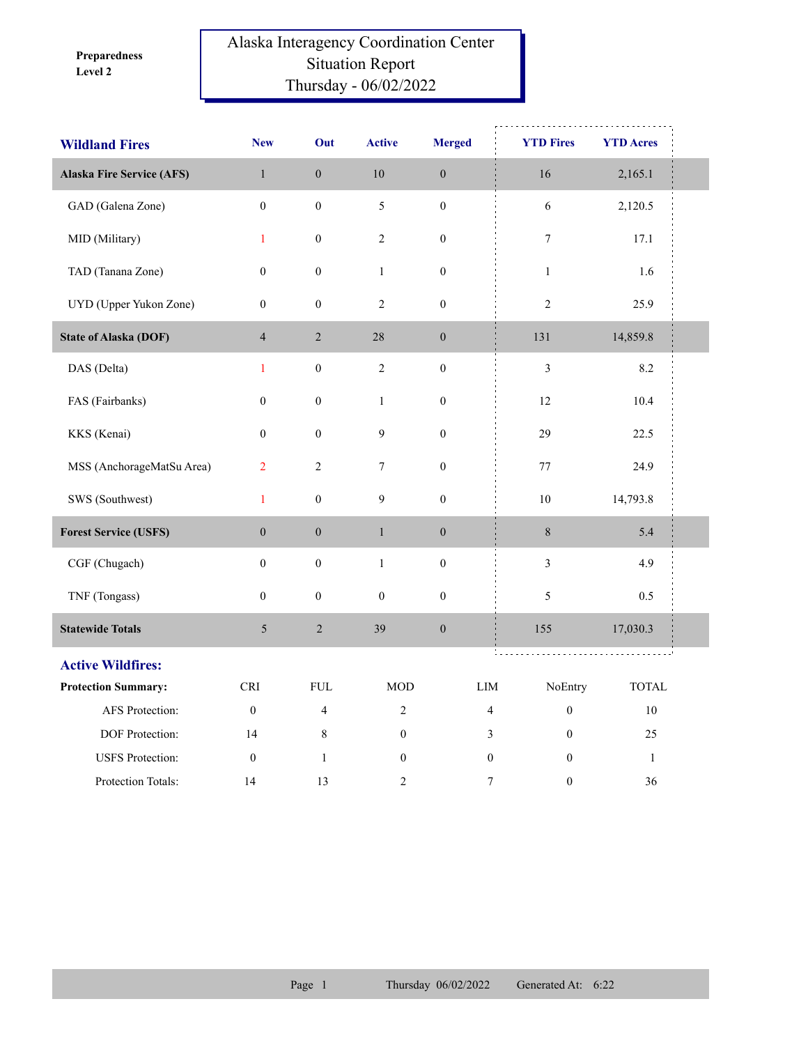**Level 2 Preparedness** 

## Alaska Interagency Coordination Center Situation Report Thursday - 06/02/2022

| <b>Wildland Fires</b>            | <b>New</b>                  | Out              | <b>Active</b>    | <b>Merged</b>    | <b>YTD Fires</b> | <b>YTD Acres</b> |  |
|----------------------------------|-----------------------------|------------------|------------------|------------------|------------------|------------------|--|
| <b>Alaska Fire Service (AFS)</b> | $\mathbf{1}$                | $\boldsymbol{0}$ | 10               | $\boldsymbol{0}$ | 16               | 2,165.1          |  |
| GAD (Galena Zone)                | $\mathbf{0}$                | $\boldsymbol{0}$ | 5                | $\boldsymbol{0}$ | 6                | 2,120.5          |  |
| MID (Military)                   | $\mathbf{1}$                | $\boldsymbol{0}$ | $\sqrt{2}$       | $\boldsymbol{0}$ | $\boldsymbol{7}$ | 17.1             |  |
| TAD (Tanana Zone)                | $\boldsymbol{0}$            | $\boldsymbol{0}$ | $\,1\,$          | $\boldsymbol{0}$ | $\,1\,$          | 1.6              |  |
| UYD (Upper Yukon Zone)           | $\boldsymbol{0}$            | $\boldsymbol{0}$ | $\sqrt{2}$       | $\boldsymbol{0}$ | $\sqrt{2}$       | 25.9             |  |
| <b>State of Alaska (DOF)</b>     | $\overline{4}$              | $\sqrt{2}$       | $28\,$           | $\boldsymbol{0}$ | 131              | 14,859.8         |  |
| DAS (Delta)                      | $\mathbf{1}$                | $\boldsymbol{0}$ | $\overline{2}$   | $\boldsymbol{0}$ | $\mathfrak{Z}$   | 8.2              |  |
| FAS (Fairbanks)                  | $\boldsymbol{0}$            | $\boldsymbol{0}$ | $\mathbf{1}$     | $\boldsymbol{0}$ | 12               | 10.4             |  |
| KKS (Kenai)                      | $\boldsymbol{0}$            | $\boldsymbol{0}$ | $\mathbf{9}$     | $\boldsymbol{0}$ | 29               | 22.5             |  |
| MSS (AnchorageMatSu Area)        | $\overline{2}$              | $\sqrt{2}$       | $\tau$           | $\boldsymbol{0}$ | 77               | 24.9             |  |
| SWS (Southwest)                  | $\mathbf{1}$                | $\boldsymbol{0}$ | $\mathbf{9}$     | $\boldsymbol{0}$ | $10\,$           | 14,793.8         |  |
| <b>Forest Service (USFS)</b>     | $\boldsymbol{0}$            | $\boldsymbol{0}$ | $\,1$            | $\boldsymbol{0}$ | $8\,$            | 5.4              |  |
| CGF (Chugach)                    | $\boldsymbol{0}$            | $\boldsymbol{0}$ | $\mathbf{1}$     | $\boldsymbol{0}$ | $\mathfrak{Z}$   | 4.9              |  |
| TNF (Tongass)                    | $\boldsymbol{0}$            | $\boldsymbol{0}$ | $\boldsymbol{0}$ | $\boldsymbol{0}$ | 5                | 0.5              |  |
| <b>Statewide Totals</b>          | 5                           | $\sqrt{2}$       | 39               | $\boldsymbol{0}$ | 155              | 17,030.3         |  |
| <b>Active Wildfires:</b>         |                             |                  |                  |                  |                  |                  |  |
| <b>Protection Summary:</b>       | $\ensuremath{\mathsf{CRI}}$ | ${\rm FUL}$      | <b>MOD</b>       | LIM              | NoEntry          | <b>TOTAL</b>     |  |
| AFS Protection:                  | $\boldsymbol{0}$            | $\overline{4}$   | $\overline{2}$   | 4                | $\boldsymbol{0}$ | $10\,$           |  |
| DOF Protection:                  | 14                          | 8                | $\boldsymbol{0}$ | 3                | $\boldsymbol{0}$ | 25               |  |
| <b>USFS</b> Protection:          | $\mathbf{0}$                | $\mathbf{1}$     | $\boldsymbol{0}$ | $\boldsymbol{0}$ | $\mathbf{0}$     | $\mathbf{1}$     |  |
| Protection Totals:               | 14                          | 13               | $\overline{2}$   | 7                | $\boldsymbol{0}$ | 36               |  |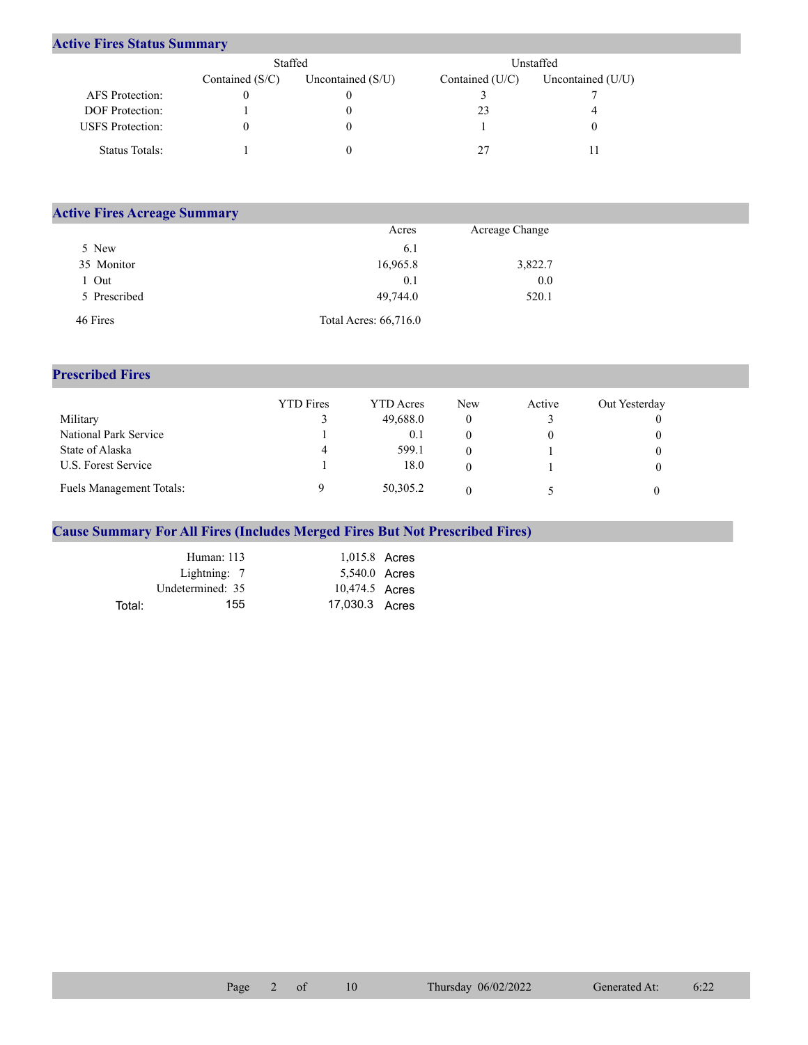## **Active Fires Status Summary**

|                         | Staffed           |                     | Unstaffed         |                   |  |  |
|-------------------------|-------------------|---------------------|-------------------|-------------------|--|--|
|                         | Contained $(S/C)$ | Uncontained $(S/U)$ | Contained $(U/C)$ | Uncontained (U/U) |  |  |
| AFS Protection:         |                   |                     |                   |                   |  |  |
| <b>DOF</b> Protection:  |                   |                     | 23                |                   |  |  |
| <b>USFS</b> Protection: |                   |                     |                   |                   |  |  |
| Status Totals:          |                   |                     |                   |                   |  |  |

| <b>Active Fires Acreage Summary</b> |                       |                |  |  |  |  |  |  |
|-------------------------------------|-----------------------|----------------|--|--|--|--|--|--|
|                                     | Acres                 | Acreage Change |  |  |  |  |  |  |
| 5 New                               | 6.1                   |                |  |  |  |  |  |  |
| 35 Monitor                          | 16,965.8              | 3,822.7        |  |  |  |  |  |  |
| Out                                 | 0.1                   | 0.0            |  |  |  |  |  |  |
| 5 Prescribed                        | 49,744.0              | 520.1          |  |  |  |  |  |  |
| 46 Fires                            | Total Acres: 66,716.0 |                |  |  |  |  |  |  |

## **Prescribed Fires**

|                          | <b>YTD</b> Fires | <b>YTD</b> Acres | <b>New</b> | Active | Out Yesterday |
|--------------------------|------------------|------------------|------------|--------|---------------|
| Military                 |                  | 49,688.0         |            |        |               |
| National Park Service    |                  | 0.1              |            |        |               |
| State of Alaska          | 4                | 599.1            |            |        |               |
| U.S. Forest Service      |                  | 18.0             |            |        |               |
| Fuels Management Totals: |                  | 50,305.2         |            |        |               |

## **Cause Summary For All Fires (Includes Merged Fires But Not Prescribed Fires)**

|        | Human: 113       | 1,015.8 Acres  |  |
|--------|------------------|----------------|--|
|        | Lightning: 7     | 5,540.0 Acres  |  |
|        | Undetermined: 35 | 10,474.5 Acres |  |
| Total: | 155              | 17,030.3 Acres |  |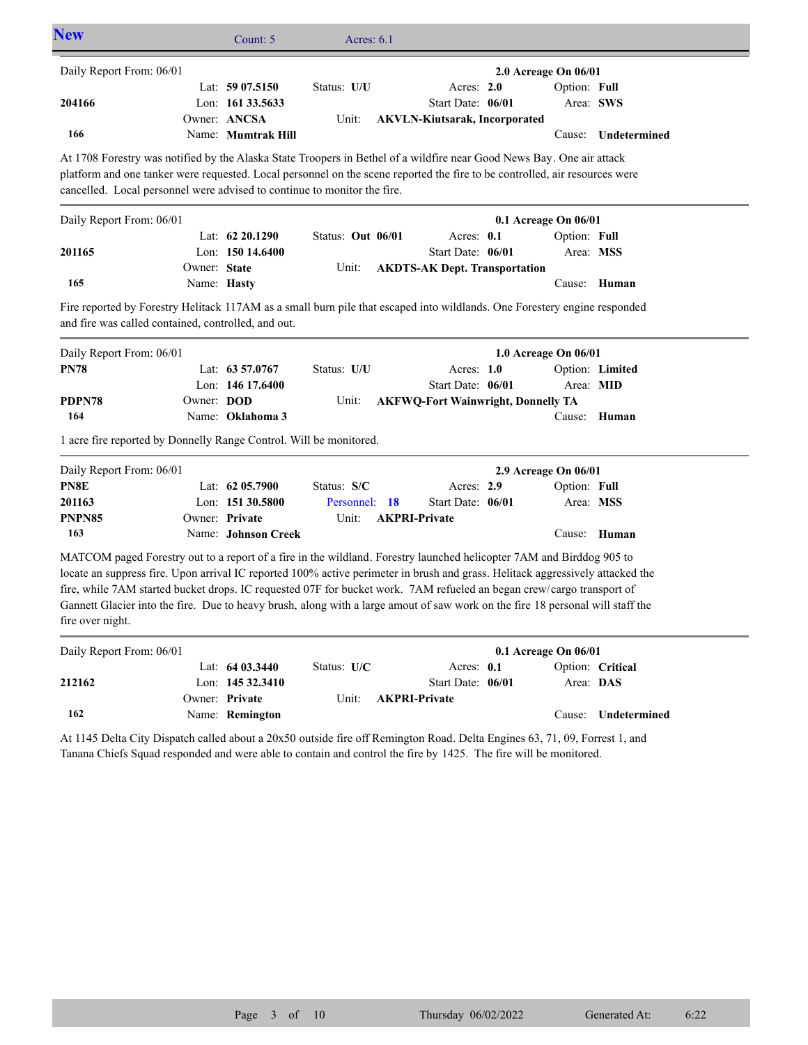| <b>New</b>                                                                                                                                                                                                                                                                                                                                                                                                                                                                                                                            |              | Count: 5                           | Acres: $6.1$      |                                           |                                      |                     |
|---------------------------------------------------------------------------------------------------------------------------------------------------------------------------------------------------------------------------------------------------------------------------------------------------------------------------------------------------------------------------------------------------------------------------------------------------------------------------------------------------------------------------------------|--------------|------------------------------------|-------------------|-------------------------------------------|--------------------------------------|---------------------|
| Daily Report From: 06/01                                                                                                                                                                                                                                                                                                                                                                                                                                                                                                              |              | Lat: 59 07.5150                    | Status: U/U       | Acres: 2.0                                | 2.0 Acreage On 06/01<br>Option: Full |                     |
| 204166                                                                                                                                                                                                                                                                                                                                                                                                                                                                                                                                |              | Lon: 161 33.5633                   |                   | Start Date: 06/01                         | Area: SWS                            |                     |
| 166                                                                                                                                                                                                                                                                                                                                                                                                                                                                                                                                   |              | Owner: ANCSA<br>Name: Mumtrak Hill | Unit:             | <b>AKVLN-Kiutsarak, Incorporated</b>      |                                      | Cause: Undetermined |
|                                                                                                                                                                                                                                                                                                                                                                                                                                                                                                                                       |              |                                    |                   |                                           |                                      |                     |
| At 1708 Forestry was notified by the Alaska State Troopers in Bethel of a wildfire near Good News Bay. One air attack<br>platform and one tanker were requested. Local personnel on the scene reported the fire to be controlled, air resources were                                                                                                                                                                                                                                                                                  |              |                                    |                   |                                           |                                      |                     |
| cancelled. Local personnel were advised to continue to monitor the fire.                                                                                                                                                                                                                                                                                                                                                                                                                                                              |              |                                    |                   |                                           |                                      |                     |
|                                                                                                                                                                                                                                                                                                                                                                                                                                                                                                                                       |              |                                    |                   |                                           |                                      |                     |
| Daily Report From: 06/01                                                                                                                                                                                                                                                                                                                                                                                                                                                                                                              |              | Lat: 62 20.1290                    | Status: Out 06/01 | Acres: 0.1                                | 0.1 Acreage On 06/01<br>Option: Full |                     |
| 201165                                                                                                                                                                                                                                                                                                                                                                                                                                                                                                                                |              | Lon: 150 14.6400                   |                   | Start Date: 06/01                         | Area: MSS                            |                     |
|                                                                                                                                                                                                                                                                                                                                                                                                                                                                                                                                       | Owner: State |                                    | Unit:             | <b>AKDTS-AK Dept. Transportation</b>      |                                      |                     |
| 165                                                                                                                                                                                                                                                                                                                                                                                                                                                                                                                                   | Name: Hasty  |                                    |                   |                                           |                                      | Cause: Human        |
| Fire reported by Forestry Helitack 117AM as a small burn pile that escaped into wildlands. One Forestery engine responded                                                                                                                                                                                                                                                                                                                                                                                                             |              |                                    |                   |                                           |                                      |                     |
| and fire was called contained, controlled, and out.                                                                                                                                                                                                                                                                                                                                                                                                                                                                                   |              |                                    |                   |                                           |                                      |                     |
| Daily Report From: 06/01                                                                                                                                                                                                                                                                                                                                                                                                                                                                                                              |              |                                    |                   |                                           | 1.0 Acreage On 06/01                 |                     |
| <b>PN78</b>                                                                                                                                                                                                                                                                                                                                                                                                                                                                                                                           |              | Lat: 63 57,0767                    | Status: U/U       | Acres: $1.0$                              |                                      | Option: Limited     |
|                                                                                                                                                                                                                                                                                                                                                                                                                                                                                                                                       |              | Lon: 146 17.6400                   |                   | Start Date: 06/01                         | Area: MID                            |                     |
| PDPN78                                                                                                                                                                                                                                                                                                                                                                                                                                                                                                                                | Owner: DOD   |                                    | Unit:             | <b>AKFWQ-Fort Wainwright, Donnelly TA</b> |                                      |                     |
| 164                                                                                                                                                                                                                                                                                                                                                                                                                                                                                                                                   |              | Name: Oklahoma 3                   |                   |                                           | Cause:                               | Human               |
| 1 acre fire reported by Donnelly Range Control. Will be monitored.                                                                                                                                                                                                                                                                                                                                                                                                                                                                    |              |                                    |                   |                                           |                                      |                     |
| Daily Report From: 06/01                                                                                                                                                                                                                                                                                                                                                                                                                                                                                                              |              |                                    |                   |                                           | 2.9 Acreage On 06/01                 |                     |
| PN8E                                                                                                                                                                                                                                                                                                                                                                                                                                                                                                                                  |              | Lat: 62 05.7900                    | Status: S/C       | Acres: 2.9                                | Option: Full                         |                     |
| 201163                                                                                                                                                                                                                                                                                                                                                                                                                                                                                                                                |              | Lon: 151 30.5800                   | Personnel: 18     | Start Date: 06/01                         | Area: MSS                            |                     |
| PNPN85                                                                                                                                                                                                                                                                                                                                                                                                                                                                                                                                |              | Owner: Private                     | Unit:             | <b>AKPRI-Private</b>                      |                                      |                     |
|                                                                                                                                                                                                                                                                                                                                                                                                                                                                                                                                       |              | Name: Johnson Creek                |                   |                                           |                                      | Cause: Human        |
| 163                                                                                                                                                                                                                                                                                                                                                                                                                                                                                                                                   |              |                                    |                   |                                           |                                      |                     |
| MATCOM paged Forestry out to a report of a fire in the wildland. Forestry launched helicopter 7AM and Birddog 905 to<br>locate an suppress fire. Upon arrival IC reported 100% active perimeter in brush and grass. Helitack aggressively attacked the<br>fire, while 7AM started bucket drops. IC requested 07F for bucket work. 7AM refueled an began crew/cargo transport of<br>Gannett Glacier into the fire. Due to heavy brush, along with a large amout of saw work on the fire 18 personal will staff the<br>fire over night. |              |                                    |                   |                                           |                                      |                     |
| Daily Report From: 06/01                                                                                                                                                                                                                                                                                                                                                                                                                                                                                                              |              |                                    |                   |                                           | 0.1 Acreage On 06/01                 |                     |
|                                                                                                                                                                                                                                                                                                                                                                                                                                                                                                                                       |              | Lat: 64 03.3440                    | Status: U/C       | Acres: 0.1                                |                                      | Option: Critical    |
| 212162                                                                                                                                                                                                                                                                                                                                                                                                                                                                                                                                |              | Lon: 145 32.3410                   |                   | Start Date: 06/01                         | Area: DAS                            |                     |
| 162                                                                                                                                                                                                                                                                                                                                                                                                                                                                                                                                   |              | Owner: Private<br>Name: Remington  | Unit:             | <b>AKPRI-Private</b>                      | Cause:                               | Undetermined        |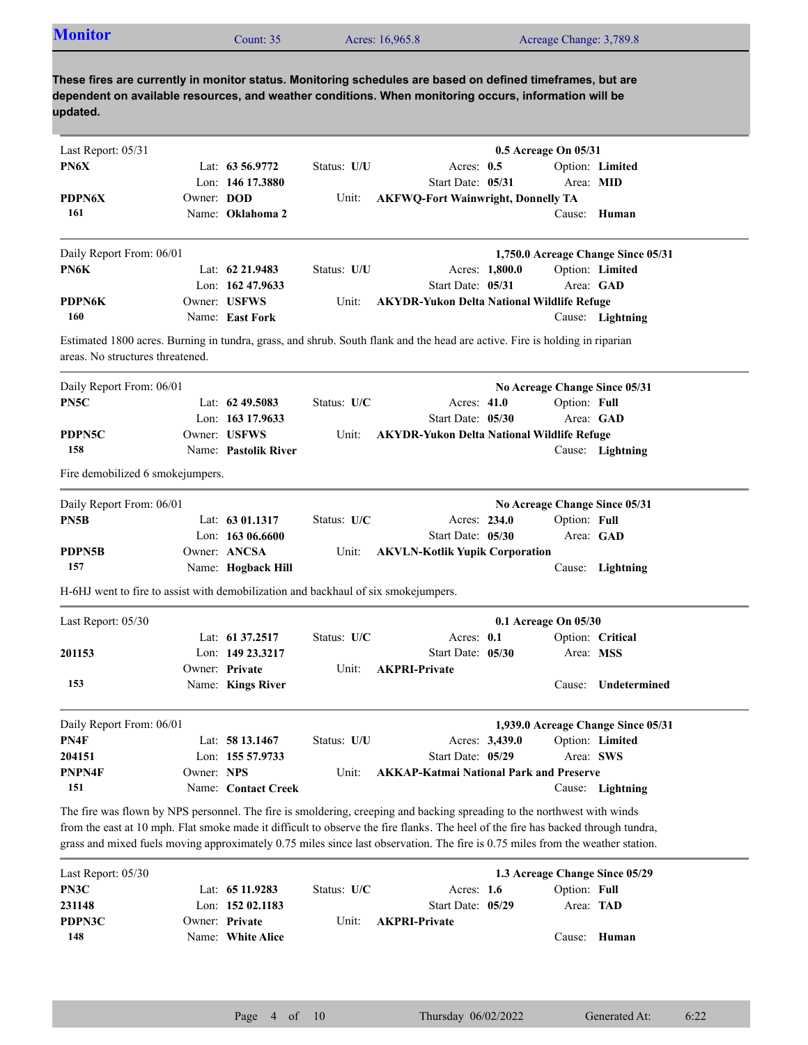| <b>Monitor</b>                                                                     |            | Count: 35            |             | Acres: 16,965.8                                                                                                                                                                                                     |                | Acreage Change: 3,789.8       |                                    |
|------------------------------------------------------------------------------------|------------|----------------------|-------------|---------------------------------------------------------------------------------------------------------------------------------------------------------------------------------------------------------------------|----------------|-------------------------------|------------------------------------|
|                                                                                    |            |                      |             |                                                                                                                                                                                                                     |                |                               |                                    |
| updated.                                                                           |            |                      |             | These fires are currently in monitor status. Monitoring schedules are based on defined timeframes, but are<br>dependent on available resources, and weather conditions. When monitoring occurs, information will be |                |                               |                                    |
| Last Report: 05/31                                                                 |            |                      |             |                                                                                                                                                                                                                     |                | 0.5 Acreage On 05/31          |                                    |
| PN6X                                                                               |            | Lat: $63\,56.9772$   | Status: U/U | Acres: $0.5$                                                                                                                                                                                                        |                |                               | Option: Limited                    |
|                                                                                    |            | Lon: 146 17.3880     |             | Start Date: 05/31                                                                                                                                                                                                   |                |                               | Area: MID                          |
| PDPN6X                                                                             | Owner: DOD |                      | Unit:       | <b>AKFWQ-Fort Wainwright, Donnelly TA</b>                                                                                                                                                                           |                |                               |                                    |
| 161                                                                                |            | Name: Oklahoma 2     |             |                                                                                                                                                                                                                     |                |                               | Cause: Human                       |
| Daily Report From: 06/01                                                           |            |                      |             |                                                                                                                                                                                                                     |                |                               | 1,750.0 Acreage Change Since 05/31 |
| PN6K                                                                               |            | Lat: $62\,21.9483$   | Status: U/U |                                                                                                                                                                                                                     | Acres: 1,800.0 |                               | Option: Limited                    |
|                                                                                    |            | Lon: $16247.9633$    |             | Start Date: 05/31                                                                                                                                                                                                   |                |                               | Area: GAD                          |
| <b>PDPN6K</b>                                                                      |            | Owner: USFWS         | Unit:       | <b>AKYDR-Yukon Delta National Wildlife Refuge</b>                                                                                                                                                                   |                |                               |                                    |
| 160                                                                                |            | Name: East Fork      |             |                                                                                                                                                                                                                     |                |                               | Cause: Lightning                   |
| areas. No structures threatened.                                                   |            |                      |             | Estimated 1800 acres. Burning in tundra, grass, and shrub. South flank and the head are active. Fire is holding in riparian                                                                                         |                |                               |                                    |
| Daily Report From: 06/01                                                           |            |                      |             |                                                                                                                                                                                                                     |                | No Acreage Change Since 05/31 |                                    |
| PN5C                                                                               |            | Lat: $62\,49.5083$   | Status: U/C | Acres: $41.0$                                                                                                                                                                                                       |                | Option: Full                  |                                    |
|                                                                                    |            | Lon: 163 17.9633     |             | Start Date: 05/30                                                                                                                                                                                                   |                |                               | Area: GAD                          |
| PDPN5C                                                                             |            | Owner: USFWS         | Unit:       | <b>AKYDR-Yukon Delta National Wildlife Refuge</b>                                                                                                                                                                   |                |                               |                                    |
| 158                                                                                |            | Name: Pastolik River |             |                                                                                                                                                                                                                     |                |                               | Cause: Lightning                   |
| Fire demobilized 6 smokejumpers.                                                   |            |                      |             |                                                                                                                                                                                                                     |                |                               |                                    |
| Daily Report From: 06/01                                                           |            |                      |             |                                                                                                                                                                                                                     |                | No Acreage Change Since 05/31 |                                    |
| PN5B                                                                               |            | Lat: 63 01.1317      | Status: U/C | Acres: 234.0                                                                                                                                                                                                        |                | Option: Full                  |                                    |
|                                                                                    |            | Lon: 163 06.6600     |             | Start Date: 05/30                                                                                                                                                                                                   |                |                               | Area: GAD                          |
| PDPN5B                                                                             |            | Owner: ANCSA         | Unit:       | <b>AKVLN-Kotlik Yupik Corporation</b>                                                                                                                                                                               |                |                               |                                    |
| 157                                                                                |            | Name: Hogback Hill   |             |                                                                                                                                                                                                                     |                |                               | Cause: Lightning                   |
| H-6HJ went to fire to assist with demobilization and backhaul of six smokejumpers. |            |                      |             |                                                                                                                                                                                                                     |                |                               |                                    |
| Last Report: 05/30                                                                 |            |                      |             |                                                                                                                                                                                                                     |                | 0.1 Acreage On 05/30          |                                    |
|                                                                                    |            | Lat: 61 37.2517      | Status: U/C | Acres: 0.1                                                                                                                                                                                                          |                |                               | Option: Critical                   |
| 201153                                                                             |            | Lon: 149 23.3217     |             | Start Date: 05/30                                                                                                                                                                                                   |                |                               | Area: MSS                          |
|                                                                                    |            | Owner: Private       | Unit:       | <b>AKPRI-Private</b>                                                                                                                                                                                                |                |                               |                                    |
| 153                                                                                |            | Name: Kings River    |             |                                                                                                                                                                                                                     |                | Cause:                        | Undetermined                       |
| Daily Report From: 06/01                                                           |            |                      |             |                                                                                                                                                                                                                     |                |                               | 1,939.0 Acreage Change Since 05/31 |
| PN4F                                                                               |            | Lat: 58 13.1467      | Status: U/U |                                                                                                                                                                                                                     | Acres: 3,439.0 |                               | Option: Limited                    |
|                                                                                    |            | Lon: 155 57.9733     |             | Start Date: 05/29                                                                                                                                                                                                   |                |                               | Area: SWS                          |
| 204151                                                                             |            |                      | Unit:       | <b>AKKAP-Katmai National Park and Preserve</b>                                                                                                                                                                      |                |                               |                                    |
| PNPN4F                                                                             | Owner: NPS |                      |             |                                                                                                                                                                                                                     |                |                               |                                    |

|  |                                                                              |                                       | Option: Full                      |                                |
|--|------------------------------------------------------------------------------|---------------------------------------|-----------------------------------|--------------------------------|
|  |                                                                              |                                       | Area: <b>TAD</b>                  |                                |
|  | Unit:                                                                        |                                       |                                   |                                |
|  |                                                                              |                                       |                                   | Cause: Human                   |
|  | Lat: $6511.9283$<br>Lon: $15202.1183$<br>Owner: Private<br>Name: White Alice | Status: $U/C$<br><b>AKPRI-Private</b> | Acres: $1.6$<br>Start Date: 05/29 | 1.3 Acreage Change Since 05/29 |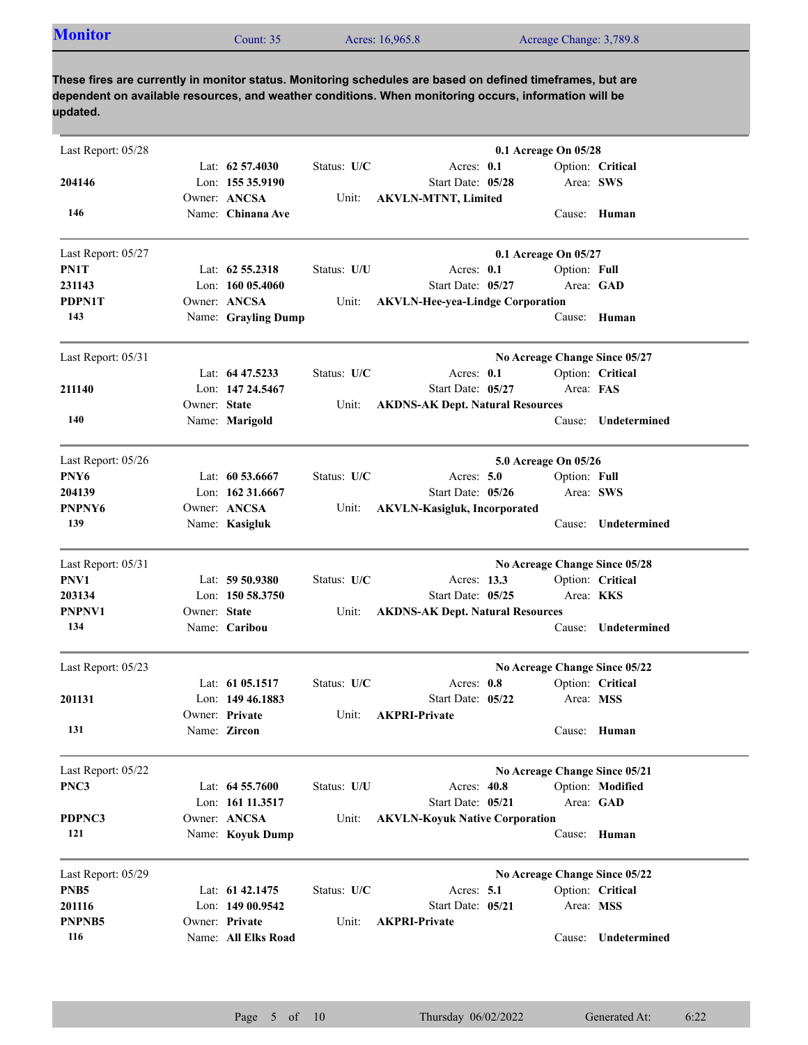| <b>Monitor</b><br>Acres: 16,965.8<br>Acreage Change: 3,789.8<br>Count: $351$ |
|------------------------------------------------------------------------------|
|------------------------------------------------------------------------------|

| Last Report: 05/28 |              |                     |             | 0.1 Acreage On 05/28                    |
|--------------------|--------------|---------------------|-------------|-----------------------------------------|
|                    |              | Lat: $62\,57.4030$  | Status: U/C | Acres: $0.1$<br>Option: Critical        |
| 204146             |              | Lon: 155 35,9190    |             | Start Date: 05/28<br>Area: SWS          |
|                    |              | Owner: ANCSA        | Unit:       | <b>AKVLN-MTNT, Limited</b>              |
| 146                |              | Name: Chinana Ave   |             | Cause: Human                            |
| Last Report: 05/27 |              |                     |             | 0.1 Acreage On 05/27                    |
| PN1T               |              | Lat: $62\,55.2318$  | Status: U/U | Acres: $0.1$<br>Option: Full            |
| 231143             |              | Lon: $16005.4060$   |             | Start Date: 05/27<br>Area: GAD          |
| <b>PDPN1T</b>      |              | Owner: ANCSA        | Unit:       | <b>AKVLN-Hee-yea-Lindge Corporation</b> |
| 143                |              | Name: Grayling Dump |             | Cause: Human                            |
| Last Report: 05/31 |              |                     |             | No Acreage Change Since 05/27           |
|                    |              | Lat: 64 47.5233     | Status: U/C | Option: Critical<br>Acres: 0.1          |
| 211140             |              | Lon: 147 24.5467    |             | Start Date: 05/27<br>Area: FAS          |
|                    | Owner: State |                     | Unit:       | <b>AKDNS-AK Dept. Natural Resources</b> |
| 140                |              | Name: Marigold      |             | Undetermined<br>Cause:                  |
| Last Report: 05/26 |              |                     |             | 5.0 Acreage On 05/26                    |
| PNY6               |              | Lat: $60\,53.6667$  | Status: U/C | Acres: $5.0$<br>Option: Full            |
| 204139             |              | Lon: 162 31.6667    |             | Start Date: 05/26<br>Area: SWS          |
| PNPNY6             |              | Owner: ANCSA        | Unit:       | <b>AKVLN-Kasigluk, Incorporated</b>     |
| 139                |              | Name: Kasigluk      |             | Undetermined<br>Cause:                  |
| Last Report: 05/31 |              |                     |             | No Acreage Change Since 05/28           |
| PNV1               |              | Lat: 59 50.9380     | Status: U/C | Option: Critical<br>Acres: 13.3         |
| 203134             |              | Lon: $15058.3750$   |             | Start Date: 05/25<br>Area: <b>KKS</b>   |
| PNPNV1             | Owner: State |                     | Unit:       | <b>AKDNS-AK Dept. Natural Resources</b> |
| 134                |              | Name: Caribou       |             | Undetermined<br>Cause:                  |
| Last Report: 05/23 |              |                     |             | No Acreage Change Since 05/22           |
|                    |              | Lat: $61\,05.1517$  | Status: U/C | Acres: 0.8<br>Option: Critical          |
| 201131             |              | Lon: $14946.1883$   |             | Start Date: 05/22<br>Area: MSS          |
|                    |              | Owner: Private      | Unit:       | <b>AKPRI-Private</b>                    |
| 131                |              | Name: Zircon        |             | Cause: Human                            |
| Last Report: 05/22 |              |                     |             | No Acreage Change Since 05/21           |
| PNC3               |              | Lat: $64\,55.7600$  | Status: U/U | Option: Modified<br>Acres: 40.8         |
|                    |              | Lon: 161 11.3517    |             | Start Date: 05/21<br>Area: GAD          |
| PDPNC3             |              | Owner: ANCSA        | Unit:       | <b>AKVLN-Koyuk Native Corporation</b>   |
| 121                |              | Name: Koyuk Dump    |             | Cause: Human                            |
| Last Report: 05/29 |              |                     |             | No Acreage Change Since 05/22           |
| PNB <sub>5</sub>   |              | Lat: 61 42,1475     | Status: U/C | Acres: $5.1$<br>Option: Critical        |
| 201116             |              | Lon: 149 00.9542    |             | Start Date: 05/21<br>Area: MSS          |
| PNPNB5             |              | Owner: Private      | Unit:       | <b>AKPRI-Private</b>                    |
| 116                |              | Name: All Elks Road |             | Undetermined<br>Cause:                  |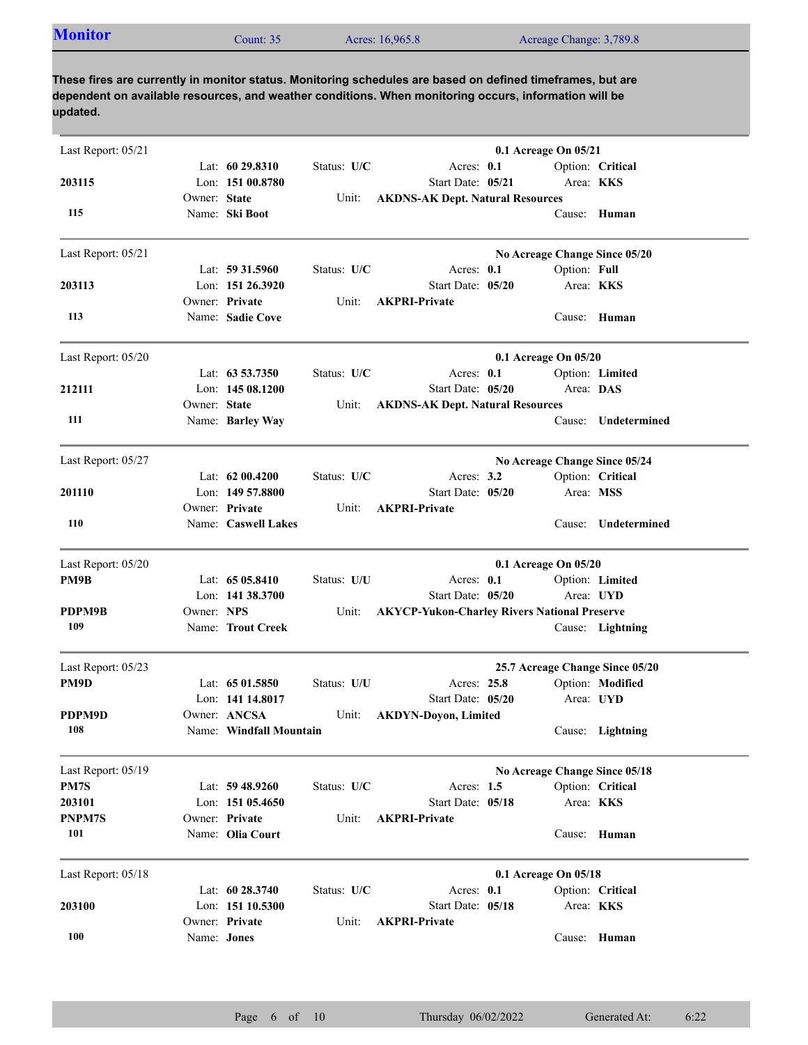| <b>Monitor</b><br>Acres: 16,965.8<br>Acreage Change: 3,789.8<br>Count: $35°$ |  |  |  |  |  |
|------------------------------------------------------------------------------|--|--|--|--|--|
|------------------------------------------------------------------------------|--|--|--|--|--|

| Last Report: 05/21 |              |                                         |             |                                                                          | 0.1 Acreage On 05/21 |              |                                 |
|--------------------|--------------|-----------------------------------------|-------------|--------------------------------------------------------------------------|----------------------|--------------|---------------------------------|
|                    |              | Lat: 60 29.8310                         | Status: U/C | Acres: 0.1                                                               |                      |              | Option: Critical                |
| 203115             | Owner: State | Lon: 151 00.8780                        |             | Start Date: 05/21                                                        |                      |              | Area: KKS                       |
| 115                |              | Name: Ski Boot                          | Unit:       | <b>AKDNS-AK Dept. Natural Resources</b>                                  |                      |              | Cause: Human                    |
| Last Report: 05/21 |              |                                         |             |                                                                          |                      |              | No Acreage Change Since 05/20   |
|                    |              | Lat: 59 31.5960                         | Status: U/C | Acres: 0.1                                                               |                      | Option: Full |                                 |
| 203113             |              | Lon: 151 26.3920                        |             | Start Date: 05/20                                                        |                      |              | Area: KKS                       |
| 113                |              | Owner: Private<br>Name: Sadie Cove      | Unit:       | <b>AKPRI-Private</b>                                                     |                      |              | Cause: Human                    |
| Last Report: 05/20 |              |                                         |             |                                                                          | 0.1 Acreage On 05/20 |              |                                 |
|                    |              | Lat: 63 53.7350                         | Status: U/C | Acres: 0.1                                                               |                      |              | Option: Limited                 |
| 212111             |              | Lon: 145 08.1200                        |             | Start Date: 05/20                                                        |                      | Area: DAS    |                                 |
| 111                | Owner: State | Name: Barley Way                        | Unit:       | <b>AKDNS-AK Dept. Natural Resources</b>                                  |                      | Cause:       | Undetermined                    |
| Last Report: 05/27 |              |                                         |             |                                                                          |                      |              | No Acreage Change Since 05/24   |
|                    |              | Lat: $6200.4200$                        | Status: U/C | Acres: $3.2$                                                             |                      |              | Option: Critical                |
| 201110             |              | Lon: $14957.8800$                       |             | Start Date: 05/20                                                        |                      |              | Area: MSS                       |
|                    |              | Owner: Private                          | Unit:       | <b>AKPRI-Private</b>                                                     |                      |              |                                 |
| <b>110</b>         |              | Name: Caswell Lakes                     |             |                                                                          |                      | Cause:       | Undetermined                    |
| Last Report: 05/20 |              |                                         |             |                                                                          | 0.1 Acreage On 05/20 |              |                                 |
| PM9B               |              | Lat: 65 05.8410                         | Status: U/U | Acres: 0.1                                                               |                      |              | Option: Limited                 |
| PDPM9B             | Owner: NPS   | Lon: 141 38.3700                        | Unit:       | Start Date: 05/20<br><b>AKYCP-Yukon-Charley Rivers National Preserve</b> |                      |              | Area: UYD                       |
| 109                |              | Name: Trout Creek                       |             |                                                                          |                      |              | Cause: Lightning                |
| Last Report: 05/23 |              |                                         |             |                                                                          |                      |              | 25.7 Acreage Change Since 05/20 |
| PM9D               |              | Lat: $6501.5850$                        | Status: U/U | Acres: 25.8                                                              |                      |              | Option: Modified                |
|                    |              | Lon: 141 14.8017                        |             | Start Date: 05/20                                                        |                      |              | Area: UYD                       |
| PDPM9D<br>108      |              | Owner: ANCSA<br>Name: Windfall Mountain | Unit:       | <b>AKDYN-Doyon, Limited</b>                                              |                      |              | Cause: Lightning                |
| Last Report: 05/19 |              |                                         |             |                                                                          |                      |              | No Acreage Change Since 05/18   |
| PM7S               |              | Lat: $59\,48.9260$                      | Status: U/C | Acres: $1.5$                                                             |                      |              | Option: Critical                |
| 203101             |              | Lon: 151 05.4650                        |             | Start Date: 05/18                                                        |                      |              | Area: KKS                       |
| PNPM7S             |              | Owner: Private                          | Unit:       | <b>AKPRI-Private</b>                                                     |                      |              |                                 |
| 101                |              | Name: Olia Court                        |             |                                                                          |                      |              | Cause: Human                    |
| Last Report: 05/18 |              |                                         |             |                                                                          | 0.1 Acreage On 05/18 |              |                                 |
|                    |              | Lat: 60 28.3740                         | Status: U/C | Acres: 0.1                                                               |                      |              | Option: Critical                |
| 203100             |              | Lon: 151 10.5300<br>Owner: Private      | Unit:       | Start Date: 05/18<br><b>AKPRI-Private</b>                                |                      |              | Area: KKS                       |
| 100                | Name: Jones  |                                         |             |                                                                          |                      |              | Cause: Human                    |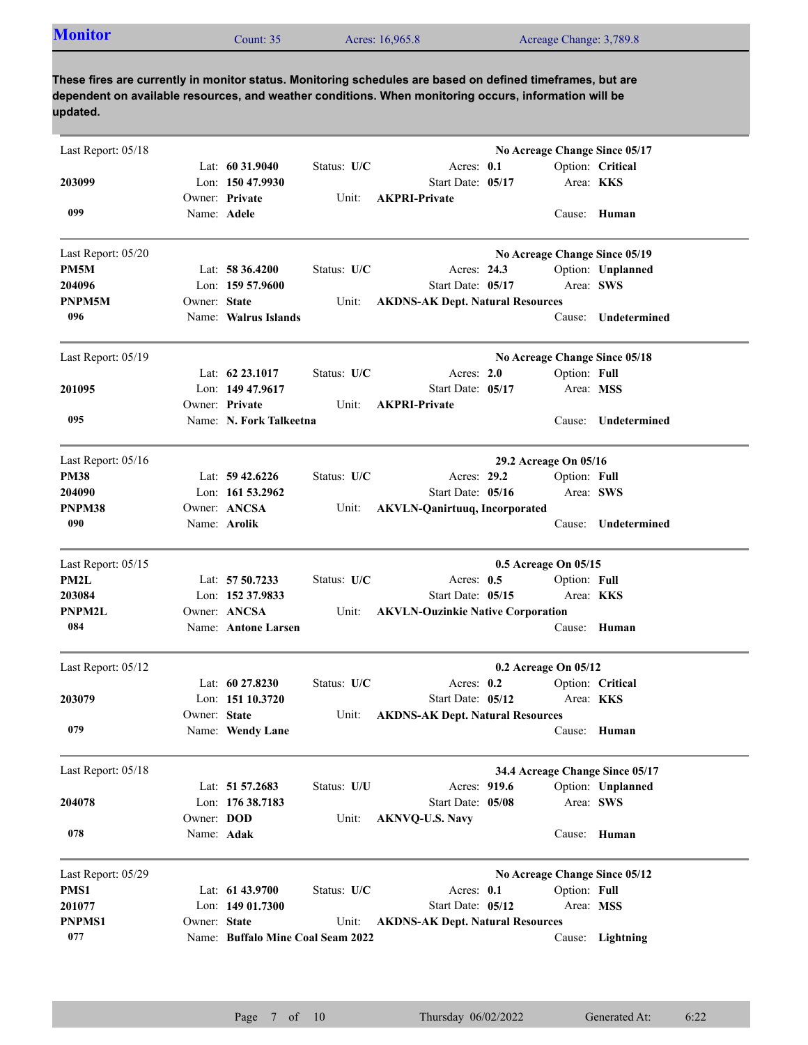|  | <b>Monitor</b><br>$2$ ount: 35 | Acres: 16,965.8 | Acreage Change: 3,789.8 |  |
|--|--------------------------------|-----------------|-------------------------|--|
|--|--------------------------------|-----------------|-------------------------|--|

| Last Report: 05/18 |              |                                    |             |                                           |                       |              | No Acreage Change Since 05/17   |  |
|--------------------|--------------|------------------------------------|-------------|-------------------------------------------|-----------------------|--------------|---------------------------------|--|
|                    |              | Lat: $60\,31.9040$                 | Status: U/C | Acres: 0.1                                |                       |              | Option: Critical                |  |
| 203099             |              | Lon: 150 47.9930<br>Owner: Private | Unit:       | Start Date: 05/17<br><b>AKPRI-Private</b> |                       |              | Area: <b>KKS</b>                |  |
| 099                | Name: Adele  |                                    |             |                                           |                       |              | Cause: Human                    |  |
| Last Report: 05/20 |              |                                    |             |                                           |                       |              | No Acreage Change Since 05/19   |  |
| PM5M               |              | Lat: $58\,36.4200$                 | Status: U/C | Acres: 24.3                               |                       |              | Option: Unplanned               |  |
| 204096             |              | Lon: $15957.9600$                  |             | Start Date: 05/17                         |                       |              | Area: SWS                       |  |
| PNPM5M             | Owner: State |                                    | Unit:       | <b>AKDNS-AK Dept. Natural Resources</b>   |                       |              |                                 |  |
| 096                |              | Name: Walrus Islands               |             |                                           |                       | Cause:       | Undetermined                    |  |
| Last Report: 05/19 |              |                                    |             |                                           |                       |              | No Acreage Change Since 05/18   |  |
|                    |              | Lat: 62 23.1017                    | Status: U/C | Acres: $2.0$                              |                       | Option: Full |                                 |  |
| 201095             |              | Lon: 149 47.9617                   |             | Start Date: 05/17                         |                       |              | Area: MSS                       |  |
|                    |              | Owner: Private                     | Unit:       | <b>AKPRI-Private</b>                      |                       |              |                                 |  |
| 095                |              | Name: N. Fork Talkeetna            |             |                                           |                       | Cause:       | Undetermined                    |  |
| Last Report: 05/16 |              |                                    |             |                                           | 29.2 Acreage On 05/16 |              |                                 |  |
| <b>PM38</b>        |              | Lat: $59\,42.6226$                 | Status: U/C | Acres: 29.2                               |                       | Option: Full |                                 |  |
| 204090             |              | Lon: $161\,53.2962$                |             | Start Date: 05/16                         |                       | Area: SWS    |                                 |  |
| PNPM38             |              | Owner: ANCSA                       | Unit:       | <b>AKVLN-Qanirtuuq, Incorporated</b>      |                       |              |                                 |  |
| 090                |              | Name: Arolik                       |             |                                           |                       | Cause:       | Undetermined                    |  |
| Last Report: 05/15 |              |                                    |             | 0.5 Acreage On 05/15                      |                       |              |                                 |  |
| PM2L               |              | Lat: 57 50.7233                    | Status: U/C | Acres: $0.5$                              |                       | Option: Full |                                 |  |
| 203084             |              | Lon: 152 37.9833                   |             | Start Date: 05/15                         |                       |              | Area: <b>KKS</b>                |  |
| <b>PNPM2L</b>      |              | Owner: ANCSA                       | Unit:       | <b>AKVLN-Ouzinkie Native Corporation</b>  |                       |              |                                 |  |
| 084                |              | Name: Antone Larsen                |             |                                           |                       |              | Cause: Human                    |  |
| Last Report: 05/12 |              |                                    |             |                                           | 0.2 Acreage On 05/12  |              |                                 |  |
|                    |              | Lat: $6027.8230$                   | Status: U/C | Acres: $0.2$                              |                       |              | Option: Critical                |  |
| 203079             |              | Lon: $15110.3720$                  |             | Start Date: 05/12                         |                       |              | Area: KKS                       |  |
|                    | Owner: State |                                    | Unit:       | <b>AKDNS-AK Dept. Natural Resources</b>   |                       |              |                                 |  |
| 079                |              | Name: Wendy Lane                   |             |                                           |                       |              | Cause: Human                    |  |
| Last Report: 05/18 |              |                                    |             |                                           |                       |              | 34.4 Acreage Change Since 05/17 |  |
|                    |              | Lat: 51 57.2683                    | Status: U/U | Acres: 919.6                              |                       |              | Option: Unplanned               |  |
| 204078             |              | Lon: 176 38.7183                   |             | Start Date: 05/08                         |                       |              | Area: SWS                       |  |
|                    | Owner: DOD   |                                    | Unit:       | <b>AKNVQ-U.S. Navy</b>                    |                       |              |                                 |  |
| 078                | Name: Adak   |                                    |             |                                           |                       |              | Cause: Human                    |  |
| Last Report: 05/29 |              |                                    |             |                                           |                       |              | No Acreage Change Since 05/12   |  |
| PMS1               |              | Lat: 61 43.9700                    | Status: U/C | Acres: 0.1                                |                       | Option: Full |                                 |  |
| 201077             |              | Lon: 149 01.7300                   |             | Start Date: 05/12                         |                       |              | Area: MSS                       |  |
| <b>PNPMS1</b>      | Owner: State |                                    | Unit:       | <b>AKDNS-AK Dept. Natural Resources</b>   |                       |              |                                 |  |
| 077                |              | Name: Buffalo Mine Coal Seam 2022  |             |                                           |                       |              | Cause: Lightning                |  |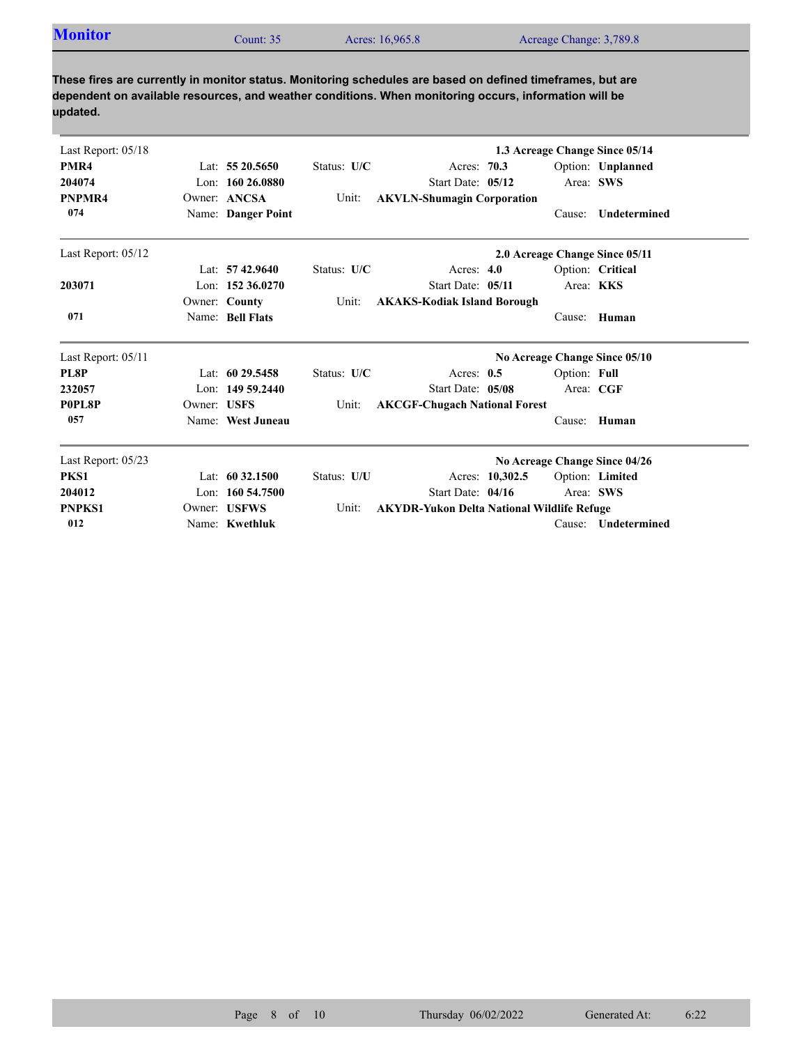| Last Report: 05/18 |             |                      |             |                                                   |              | 1.3 Acreage Change Since 05/14 |
|--------------------|-------------|----------------------|-------------|---------------------------------------------------|--------------|--------------------------------|
| PMR4               |             | Lat: 55 20.5650      | Status: U/C | Acres: 70.3                                       |              | Option: Unplanned              |
| 204074             |             | Lon: $16026.0880$    |             | Start Date: 05/12                                 |              | Area: SWS                      |
| PNPMR4             |             | Owner: ANCSA         | Unit:       | <b>AKVLN-Shumagin Corporation</b>                 |              |                                |
| 074                |             | Name: Danger Point   |             |                                                   | Cause:       | <b>Undetermined</b>            |
| Last Report: 05/12 |             |                      |             |                                                   |              | 2.0 Acreage Change Since 05/11 |
|                    |             | Lat: $57\,42.9640$   | Status: U/C | Acres: $4.0$                                      |              | Option: Critical               |
| 203071             |             | Lon: $152,36.0270$   |             | Start Date: 05/11                                 |              | Area: KKS                      |
|                    |             | Owner: County        | Unit:       | <b>AKAKS-Kodiak Island Borough</b>                |              |                                |
| 071                |             | Name: Bell Flats     |             |                                                   | Cause:       | Human                          |
| Last Report: 05/11 |             |                      |             |                                                   |              | No Acreage Change Since 05/10  |
| PL8P               |             | Lat: $6029.5458$     | Status: U/C | Acres: $0.5$                                      | Option: Full |                                |
| 232057             |             | Lon: $14959.2440$    |             | Start Date: 05/08                                 | Area: CGF    |                                |
| P0PL8P             | Owner: USFS |                      | Unit:       | <b>AKCGF-Chugach National Forest</b>              |              |                                |
| 057                |             | Name: West Juneau    |             |                                                   | Cause:       | Human                          |
| Last Report: 05/23 |             |                      |             |                                                   |              | No Acreage Change Since 04/26  |
| PKS1               |             | Lat: $60\,32.1500$   | Status: U/U | Acres: 10,302.5                                   |              | Option: Limited                |
| 204012             |             | Lon: $160, 54, 7500$ |             | Start Date: 04/16                                 |              | Area: SWS                      |
| <b>PNPKS1</b>      |             | Owner: USFWS         | Unit:       | <b>AKYDR-Yukon Delta National Wildlife Refuge</b> |              |                                |
| 012                |             | Name: Kwethluk       |             |                                                   | Cause:       | Undetermined                   |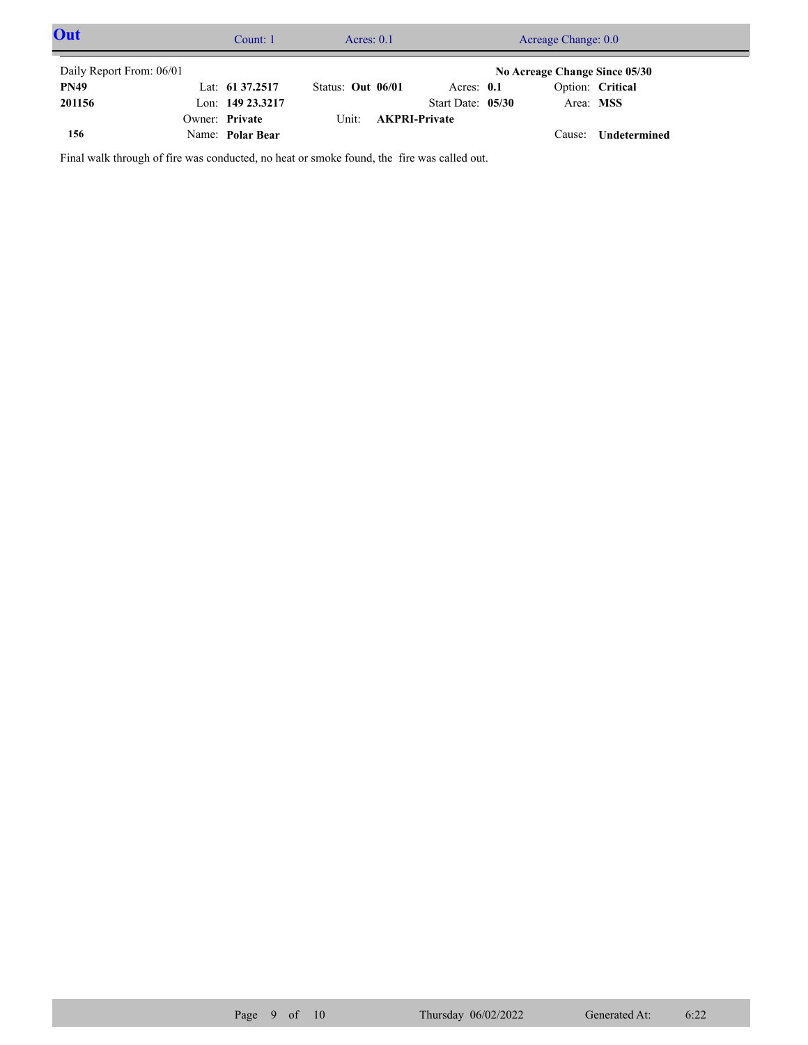| Out                      | Count: $1$         |                   | Acres: $0.1$               |                   | Acreage Change: 0.0           |                     |  |
|--------------------------|--------------------|-------------------|----------------------------|-------------------|-------------------------------|---------------------|--|
| Daily Report From: 06/01 |                    |                   |                            |                   | No Acreage Change Since 05/30 |                     |  |
| <b>PN49</b>              | Lat: $61\,37.2517$ | Status: Out 06/01 |                            | Acres: $0.1$      |                               | Option: Critical    |  |
| 201156                   | Lon: 149 23.3217   |                   |                            | Start Date: 05/30 | Area: MSS                     |                     |  |
|                          | Owner: Private     |                   | Unit: <b>AKPRI-Private</b> |                   |                               |                     |  |
| 156                      | Name: Polar Bear   |                   |                            |                   |                               | Cause: Undetermined |  |

Final walk through of fire was conducted, no heat or smoke found, the fire was called out.